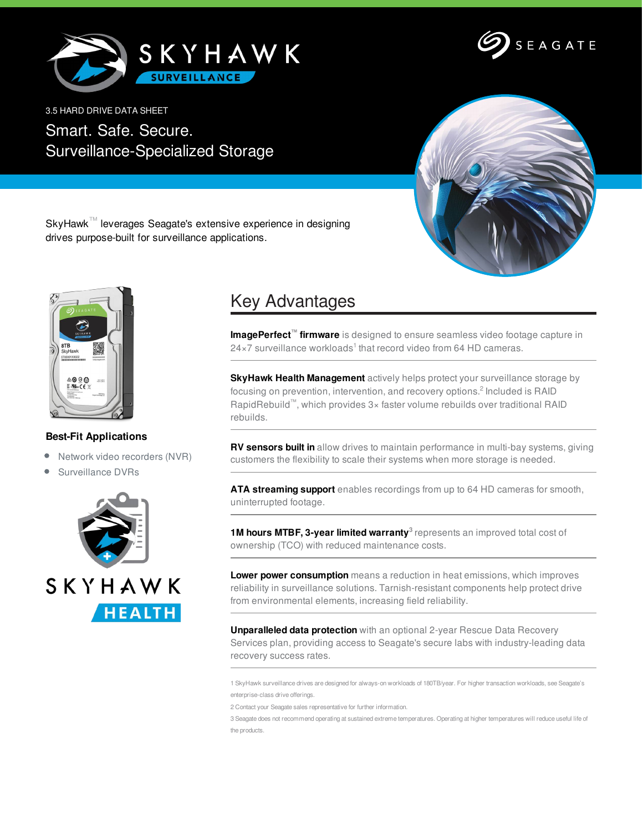



3.5 HARD DRIVE DATA SHEET

Smart. Safe. Secure. Surveillance-Specialized Storage



SkyHawk™ leverages Seagate's extensive experience in designing drives purpose-built for surveillance applications.



## **Best-Fit Applications**

- Network video recorders (NVR)
- $\bullet$ Surveillance DVRs



## Key Advantages

**ImagePerfect™ firmware** is designed to ensure seamless video footage capture in 24×7 surveillance workloads<sup>1</sup> that record video from 64 HD cameras.

**SkyHawk Health Management** actively helps protect your surveillance storage by focusing on prevention, intervention, and recovery options.<sup>2</sup> Included is RAID RapidRebuild™, which provides 3× faster volume rebuilds over traditional RAID rebuilds.

**RV sensors built in** allow drives to maintain performance in multi-bay systems, giving customers the flexibility to scale their systems when more storage is needed.

**ATA streaming support** enables recordings from up to 64 HD cameras for smooth, uninterrupted footage.

**1M hours MTBF, 3-year limited warranty 3** represents an improved total cost of ownership (TCO) with reduced maintenance costs.

**Lower power consumption** means a reduction in heat emissions, which improves reliability in surveillance solutions. Tarnish-resistant components help protect drive from environmental elements, increasing field reliability.

**Unparalleled data protection** with an optional 2-year Rescue Data Recovery Services plan, providing access to Seagate's secure labs with industry-leading data recovery success rates.

1 SkyHawk surveillance drives are designed for always-on workloads of 180TB/year. For higher transaction workloads, see Seagate's enterprise-class drive offerings.

2 Contact your Seagate sales representative for further information.

3 Seagate does not recommend operating at sustained extreme temperatures. Operating at higher temperatures will reduce useful life of the products.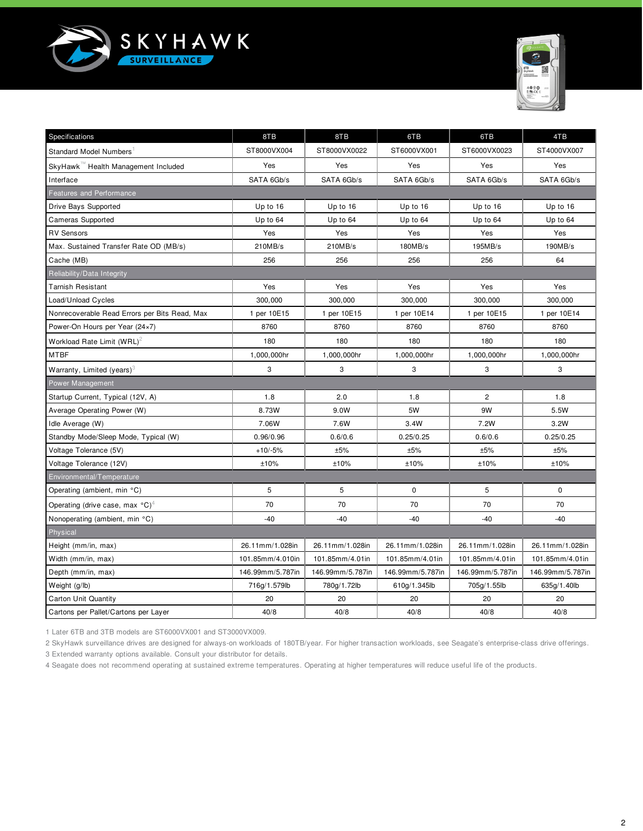



| Specifications                                        | 8TB              | 8TB              | 6TB              | 6TB              | 4TB              |  |  |  |
|-------------------------------------------------------|------------------|------------------|------------------|------------------|------------------|--|--|--|
| Standard Model Numbers                                | ST8000VX004      | ST8000VX0022     | ST6000VX001      | ST6000VX0023     | ST4000VX007      |  |  |  |
| SkyHawk™ Health Management Included                   | Yes              | Yes              | Yes              | Yes              | Yes              |  |  |  |
| Interface                                             | SATA 6Gb/s       | SATA 6Gb/s       | SATA 6Gb/s       | SATA 6Gb/s       | SATA 6Gb/s       |  |  |  |
| <b>Features and Performance</b>                       |                  |                  |                  |                  |                  |  |  |  |
| Drive Bays Supported                                  | Up to 16         | Up to 16         | Up to 16         | Up to 16         | Up to 16         |  |  |  |
| <b>Cameras Supported</b>                              | Up to 64         | Up to 64         | Up to 64         | Up to 64         | Up to 64         |  |  |  |
| <b>RV Sensors</b>                                     | Yes              | Yes              | Yes              | Yes              | Yes              |  |  |  |
| Max. Sustained Transfer Rate OD (MB/s)                | 210MB/s          | 210MB/s          | 180MB/s          | 195MB/s          | 190MB/s          |  |  |  |
| Cache (MB)                                            | 256              | 256              | 256              | 256              | 64               |  |  |  |
| Reliability/Data Integrity                            |                  |                  |                  |                  |                  |  |  |  |
| <b>Tarnish Resistant</b>                              | Yes              | Yes              | Yes              | Yes              | Yes              |  |  |  |
| Load/Unload Cycles                                    | 300,000          | 300,000          | 300,000          | 300,000          | 300,000          |  |  |  |
| Nonrecoverable Read Errors per Bits Read, Max         | 1 per 10E15      | 1 per 10E15      | 1 per 10E14      | 1 per 10E15      | 1 per 10E14      |  |  |  |
| Power-On Hours per Year (24×7)                        | 8760             | 8760             | 8760             | 8760             | 8760             |  |  |  |
| Workload Rate Limit $(WRL)^2$                         | 180              | 180              | 180              | 180              | 180              |  |  |  |
| <b>MTBF</b>                                           | 1,000,000hr      | 1,000,000hr      | 1,000,000hr      | 1,000,000hr      | 1,000,000hr      |  |  |  |
| Warranty, Limited (years) <sup>3</sup>                | 3                | 3                | 3                | 3                | 3                |  |  |  |
| Power Management                                      |                  |                  |                  |                  |                  |  |  |  |
| Startup Current, Typical (12V, A)                     | 1.8              | 2.0              | 1.8              | $\overline{c}$   | 1.8              |  |  |  |
| Average Operating Power (W)                           | 8.73W            | 9.0W             | 5W               | 9W               | 5.5W             |  |  |  |
| Idle Average (W)                                      | 7.06W            | 7.6W             | 3.4W             | 7.2W             | 3.2W             |  |  |  |
| Standby Mode/Sleep Mode, Typical (W)                  | 0.96/0.96        | 0.6/0.6          | 0.25/0.25        | 0.6/0.6          | 0.25/0.25        |  |  |  |
| Voltage Tolerance (5V)                                | $+10/-5%$        | ±5%              | ±5%              | ±5%              | ±5%              |  |  |  |
| Voltage Tolerance (12V)                               | ±10%             | ±10%             | ±10%             | ±10%             | ±10%             |  |  |  |
| Environmental/Temperature                             |                  |                  |                  |                  |                  |  |  |  |
| Operating (ambient, min °C)                           | 5                | 5                | $\mathbf 0$      | 5                | $\mathbf 0$      |  |  |  |
| Operating (drive case, max $^{\circ}$ C) <sup>4</sup> | 70               | 70               | 70               | 70               | 70               |  |  |  |
| Nonoperating (ambient, min °C)                        | $-40$            | $-40$            | $-40$            | $-40$            | $-40$            |  |  |  |
| Physical                                              |                  |                  |                  |                  |                  |  |  |  |
| Height (mm/in, max)                                   | 26.11mm/1.028in  | 26.11mm/1.028in  | 26.11mm/1.028in  | 26.11mm/1.028in  | 26.11mm/1.028in  |  |  |  |
| Width (mm/in, max)                                    | 101.85mm/4.010in | 101.85mm/4.01in  | 101.85mm/4.01in  | 101.85mm/4.01in  | 101.85mm/4.01in  |  |  |  |
| Depth (mm/in, max)                                    | 146.99mm/5.787in | 146.99mm/5.787in | 146.99mm/5.787in | 146.99mm/5.787in | 146.99mm/5.787in |  |  |  |
| Weight (g/lb)                                         | 716g/1.579lb     | 780g/1.72lb      | 610g/1.345lb     | 705g/1.55lb      | 635g/1.40lb      |  |  |  |
| Carton Unit Quantity                                  | 20               | 20               | 20               | 20               | 20               |  |  |  |
| Cartons per Pallet/Cartons per Layer                  | 40/8             | 40/8             | 40/8             | 40/8             | 40/8             |  |  |  |

1 Later 6TB and 3TB models are ST6000VX001 and ST3000VX009.

2 SkyHawk surveillance drives are designed for always-on workloads of 180TB/year. For higher transaction workloads, see Seagate's enterprise-class drive offerings. 3 Extended warranty options available. Consult your distributor for details.

4 Seagate does not recommend operating at sustained extreme temperatures. Operating at higher temperatures will reduce useful life of the products.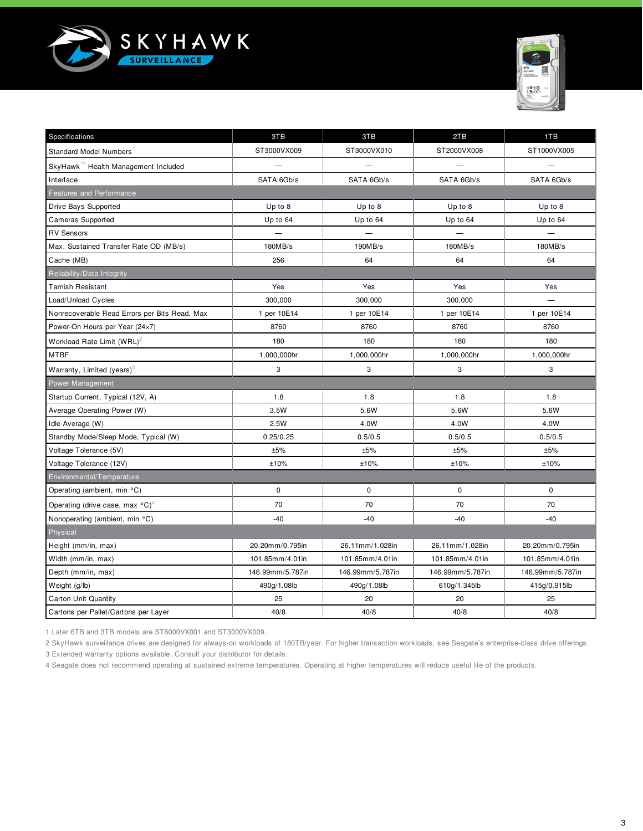



| Specifications                                        | 3TB              | 3TB              | 2TB              | 1TB              |  |  |  |  |  |
|-------------------------------------------------------|------------------|------------------|------------------|------------------|--|--|--|--|--|
| Standard Model Numbers                                | ST3000VX009      | ST3000VX010      | ST2000VX008      | ST1000VX005      |  |  |  |  |  |
| SkyHawk™ Health Management Included                   |                  |                  |                  |                  |  |  |  |  |  |
| Interface                                             | SATA 6Gb/s       | SATA 6Gb/s       | SATA 6Gb/s       | SATA 6Gb/s       |  |  |  |  |  |
| <b>Features and Performance</b>                       |                  |                  |                  |                  |  |  |  |  |  |
| Drive Bays Supported                                  | Up to 8          | Up to 8          | Up to 8          | Up to 8          |  |  |  |  |  |
| <b>Cameras Supported</b>                              | Up to 64         | Up to 64         | Up to 64         | Up to 64         |  |  |  |  |  |
| <b>RV Sensors</b>                                     |                  |                  |                  |                  |  |  |  |  |  |
| Max. Sustained Transfer Rate OD (MB/s)                | 180MB/s          | 190MB/s          | 180MB/s          | 180MB/s          |  |  |  |  |  |
| Cache (MB)                                            | 256              | 64               | 64               | 64               |  |  |  |  |  |
| Reliability/Data Integrity                            |                  |                  |                  |                  |  |  |  |  |  |
| <b>Tarnish Resistant</b>                              | Yes              | Yes              | Yes              | Yes              |  |  |  |  |  |
| Load/Unload Cycles                                    | 300,000          | 300,000          | 300,000          |                  |  |  |  |  |  |
| Nonrecoverable Read Errors per Bits Read, Max         | 1 per 10E14      | 1 per 10E14      | 1 per 10E14      | 1 per 10E14      |  |  |  |  |  |
| Power-On Hours per Year (24×7)                        | 8760             | 8760             | 8760             | 8760             |  |  |  |  |  |
| Workload Rate Limit (WRL) <sup>2</sup>                | 180              | 180              | 180              | 180              |  |  |  |  |  |
| <b>MTBF</b>                                           | 1,000,000hr      | 1,000,000hr      | 1,000,000hr      | 1,000,000hr      |  |  |  |  |  |
| Warranty, Limited (years) $3$                         | 3                | 3                | 3                | 3                |  |  |  |  |  |
| Power Management                                      |                  |                  |                  |                  |  |  |  |  |  |
| Startup Current, Typical (12V, A)                     | 1.8              | 1.8              | 1.8              | 1.8              |  |  |  |  |  |
| Average Operating Power (W)                           | 3.5W             | 5.6W             | 5.6W             | 5.6W             |  |  |  |  |  |
| Idle Average (W)                                      | 2.5W             | 4.0W             | 4.0W             | 4.0W             |  |  |  |  |  |
| Standby Mode/Sleep Mode, Typical (W)                  | 0.25/0.25        | 0.5/0.5          | 0.5/0.5          | 0.5/0.5          |  |  |  |  |  |
| Voltage Tolerance (5V)                                | ±5%              | ±5%              | ±5%              | ±5%              |  |  |  |  |  |
| Voltage Tolerance (12V)                               | ±10%             | ±10%             | ±10%             | ±10%             |  |  |  |  |  |
| Environmental/Temperature                             |                  |                  |                  |                  |  |  |  |  |  |
| Operating (ambient, min °C)                           | $\mathbf 0$      | $\mathbf 0$      | $\mathbf 0$      | $\mathbf 0$      |  |  |  |  |  |
| Operating (drive case, max $^{\circ}$ C) <sup>4</sup> | 70               | 70               | 70               | 70               |  |  |  |  |  |
| Nonoperating (ambient, min °C)                        | $-40$            | $-40$            | $-40$            | $-40$            |  |  |  |  |  |
| Physical                                              |                  |                  |                  |                  |  |  |  |  |  |
| Height (mm/in, max)                                   | 20.20mm/0.795in  | 26.11mm/1.028in  | 26.11mm/1.028in  | 20.20mm/0.795in  |  |  |  |  |  |
| Width (mm/in, max)                                    | 101.85mm/4.01in  | 101.85mm/4.01in  | 101.85mm/4.01in  | 101.85mm/4.01in  |  |  |  |  |  |
| Depth (mm/in, max)                                    | 146.99mm/5.787in | 146.99mm/5.787in | 146.99mm/5.787in | 146.99mm/5.787in |  |  |  |  |  |
| Weight (g/lb)                                         | 490g/1.08lb      | 490g/1.08lb      | 610g/1.345lb     | 415g/0.915lb     |  |  |  |  |  |
| <b>Carton Unit Quantity</b>                           | 25               | 20               | 20               | 25               |  |  |  |  |  |
| Cartons per Pallet/Cartons per Layer                  | 40/8             | 40/8             | 40/8             | 40/8             |  |  |  |  |  |

1 Later 6TB and 3TB models are ST6000VX001 and ST3000VX009.

2 SkyHawk surveillance drives are designed for always-on workloads of 180TB/year. For higher transaction workloads, see Seagate's enterprise-class drive offerings. 3 Extended warranty options available. Consult your distributor for details.

4 Seagate does not recommend operating at sustained extreme temperatures. Operating at higher temperatures will reduce useful life of the products.